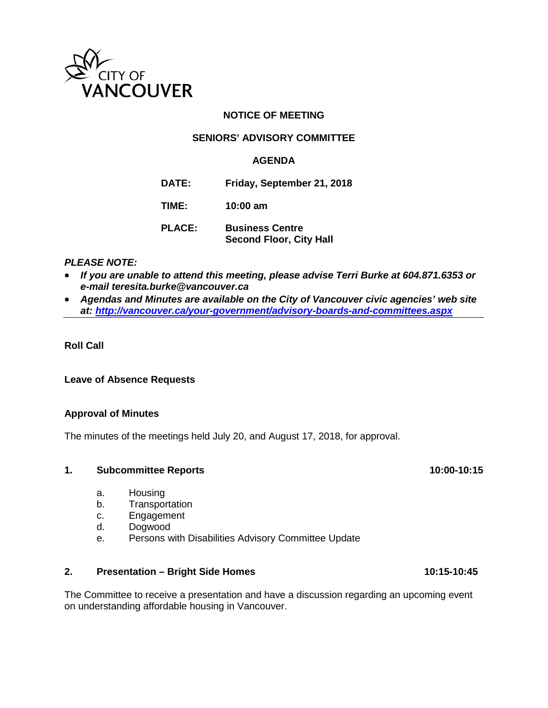

# **NOTICE OF MEETING**

# **SENIORS' ADVISORY COMMITTEE**

### **AGENDA**

**DATE: Friday, September 21, 2018**

**TIME: 10:00 am**

**PLACE: Business Centre Second Floor, City Hall**

# *PLEASE NOTE:*

- *If you are unable to attend this meeting, please advise Terri Burke at 604.871.6353 or e-mail teresita.burke@vancouver.ca*
- *Agendas and Minutes are available on the City of Vancouver civic agencies' web site at:<http://vancouver.ca/your-government/advisory-boards-and-committees.aspx>*

## **Roll Call**

#### **Leave of Absence Requests**

#### **Approval of Minutes**

The minutes of the meetings held July 20, and August 17, 2018, for approval.

#### **1.** Subcommittee Reports 10:00-10:15

- a. Housing
- b. Transportation
- c. Engagement
- d. Dogwood
- e. Persons with Disabilities Advisory Committee Update

#### 2. **Presentation – Bright Side Homes** 10:15-10:45

The Committee to receive a presentation and have a discussion regarding an upcoming event on understanding affordable housing in Vancouver.